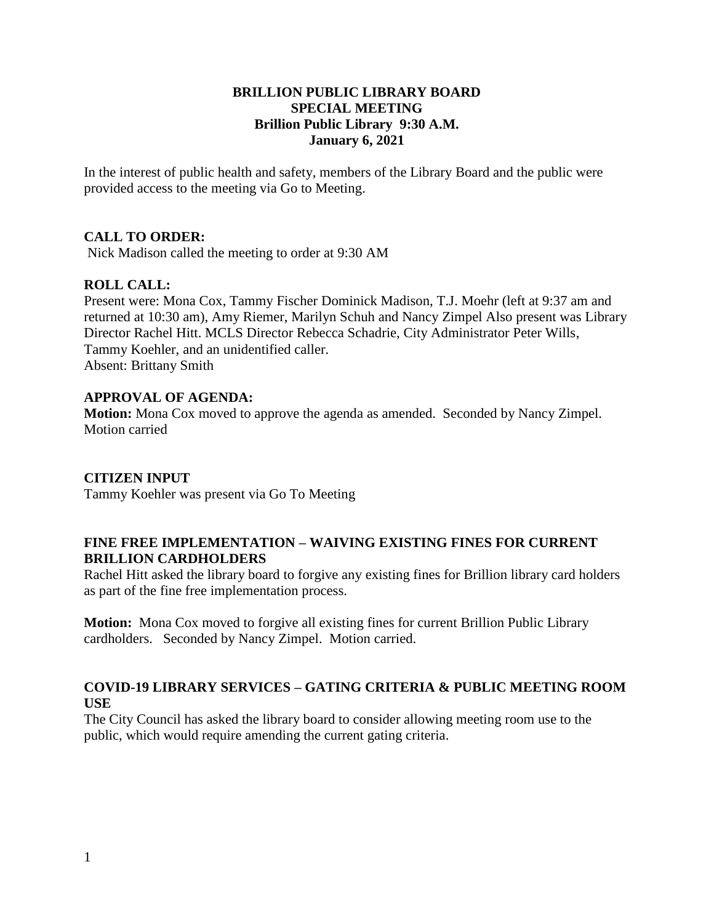### **BRILLION PUBLIC LIBRARY BOARD SPECIAL MEETING Brillion Public Library 9:30 A.M. January 6, 2021**

In the interest of public health and safety, members of the Library Board and the public were provided access to the meeting via Go to Meeting.

# **CALL TO ORDER:**

Nick Madison called the meeting to order at 9:30 AM

### **ROLL CALL:**

Present were: Mona Cox, Tammy Fischer Dominick Madison, T.J. Moehr (left at 9:37 am and returned at 10:30 am), Amy Riemer, Marilyn Schuh and Nancy Zimpel Also present was Library Director Rachel Hitt. MCLS Director Rebecca Schadrie, City Administrator Peter Wills, Tammy Koehler, and an unidentified caller. Absent: Brittany Smith

#### **APPROVAL OF AGENDA:**

**Motion:** Mona Cox moved to approve the agenda as amended. Seconded by Nancy Zimpel. Motion carried

#### **CITIZEN INPUT**

Tammy Koehler was present via Go To Meeting

#### **FINE FREE IMPLEMENTATION – WAIVING EXISTING FINES FOR CURRENT BRILLION CARDHOLDERS**

Rachel Hitt asked the library board to forgive any existing fines for Brillion library card holders as part of the fine free implementation process.

**Motion:** Mona Cox moved to forgive all existing fines for current Brillion Public Library cardholders. Seconded by Nancy Zimpel. Motion carried.

#### **COVID-19 LIBRARY SERVICES – GATING CRITERIA & PUBLIC MEETING ROOM USE**

The City Council has asked the library board to consider allowing meeting room use to the public, which would require amending the current gating criteria.